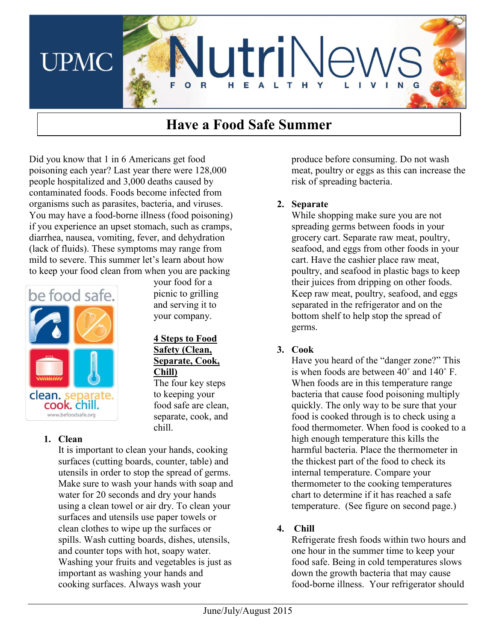

# **Have a Food Safe Summer**

Did you know that 1 in 6 Americans get food poisoning each year? Last year there were 128,000 people hospitalized and 3,000 deaths caused by contaminated foods. Foods become infected from organisms such as parasites, bacteria, and viruses. You may have a food-borne illness (food poisoning) if you experience an upset stomach, such as cramps, diarrhea, nausea, vomiting, fever, and dehydration (lack of fluids). These symptoms may range from mild to severe. This summer let's learn about how to keep your food clean from when you are packing



your food for a picnic to grilling and serving it to your company.

#### **4 Steps to Food Safety (Clean, Separate, Cook, Chill)**

The four key steps to keeping your food safe are clean, separate, cook, and chill.

## **1. Clean**

It is important to clean your hands, cooking surfaces (cutting boards, counter, table) and utensils in order to stop the spread of germs. Make sure to wash your hands with soap and water for 20 seconds and dry your hands using a clean towel or air dry. To clean your surfaces and utensils use paper towels or clean clothes to wipe up the surfaces or spills. Wash cutting boards, dishes, utensils, and counter tops with hot, soapy water. Washing your fruits and vegetables is just as important as washing your hands and cooking surfaces. Always wash your

produce before consuming. Do not wash meat, poultry or eggs as this can increase the risk of spreading bacteria.

## **2. Separate**

While shopping make sure you are not spreading germs between foods in your grocery cart. Separate raw meat, poultry, seafood, and eggs from other foods in your cart. Have the cashier place raw meat, poultry, and seafood in plastic bags to keep their juices from dripping on other foods. Keep raw meat, poultry, seafood, and eggs separated in the refrigerator and on the bottom shelf to help stop the spread of germs.

# **3. Cook**

Have you heard of the "danger zone?" This is when foods are between 40˚ and 140˚ F. When foods are in this temperature range bacteria that cause food poisoning multiply quickly. The only way to be sure that your food is cooked through is to check using a food thermometer. When food is cooked to a high enough temperature this kills the harmful bacteria. Place the thermometer in the thickest part of the food to check its internal temperature. Compare your thermometer to the cooking temperatures chart to determine if it has reached a safe temperature. (See figure on second page.)

# **4. Chill**

Refrigerate fresh foods within two hours and one hour in the summer time to keep your food safe. Being in cold temperatures slows down the growth bacteria that may cause food-borne illness. Your refrigerator should